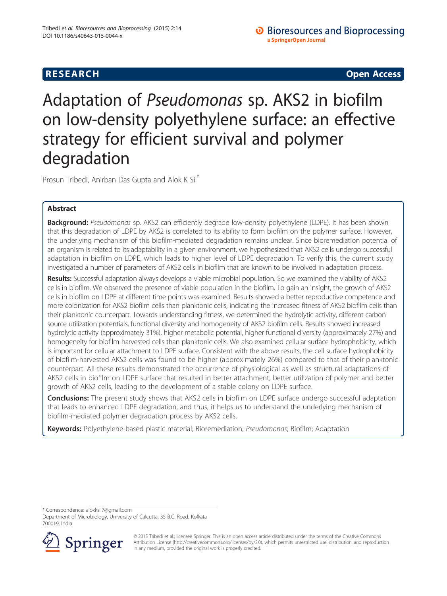# **RESEARCH CHINESE ARCH CHINESE ARCH CHINESE ARCH <b>CHINESE ARCH**

# Adaptation of Pseudomonas sp. AKS2 in biofilm on low-density polyethylene surface: an effective strategy for efficient survival and polymer degradation

Prosun Tribedi, Anirban Das Gupta and Alok K Sil\*

# Abstract

Background: Pseudomonas sp. AKS2 can efficiently degrade low-density polyethylene (LDPE). It has been shown that this degradation of LDPE by AKS2 is correlated to its ability to form biofilm on the polymer surface. However, the underlying mechanism of this biofilm-mediated degradation remains unclear. Since bioremediation potential of an organism is related to its adaptability in a given environment, we hypothesized that AKS2 cells undergo successful adaptation in biofilm on LDPE, which leads to higher level of LDPE degradation. To verify this, the current study investigated a number of parameters of AKS2 cells in biofilm that are known to be involved in adaptation process.

Results: Successful adaptation always develops a viable microbial population. So we examined the viability of AKS2 cells in biofilm. We observed the presence of viable population in the biofilm. To gain an insight, the growth of AKS2 cells in biofilm on LDPE at different time points was examined. Results showed a better reproductive competence and more colonization for AKS2 biofilm cells than planktonic cells, indicating the increased fitness of AKS2 biofilm cells than their planktonic counterpart. Towards understanding fitness, we determined the hydrolytic activity, different carbon source utilization potentials, functional diversity and homogeneity of AKS2 biofilm cells. Results showed increased hydrolytic activity (approximately 31%), higher metabolic potential, higher functional diversity (approximately 27%) and homogeneity for biofilm-harvested cells than planktonic cells. We also examined cellular surface hydrophobicity, which is important for cellular attachment to LDPE surface. Consistent with the above results, the cell surface hydrophobicity of biofilm-harvested AKS2 cells was found to be higher (approximately 26%) compared to that of their planktonic counterpart. All these results demonstrated the occurrence of physiological as well as structural adaptations of AKS2 cells in biofilm on LDPE surface that resulted in better attachment, better utilization of polymer and better growth of AKS2 cells, leading to the development of a stable colony on LDPE surface.

**Conclusions:** The present study shows that AKS2 cells in biofilm on LDPE surface undergo successful adaptation that leads to enhanced LDPE degradation, and thus, it helps us to understand the underlying mechanism of biofilm-mediated polymer degradation process by AKS2 cells.

Keywords: Polyethylene-based plastic material; Bioremediation; Pseudomonas; Biofilm; Adaptation

\* Correspondence: [alokksil7@gmail.com](mailto:alokksil7@gmail.com)

Department of Microbiology, University of Calcutta, 35 B.C. Road, Kolkata 700019, India



© 2015 Tribedi et al.; licensee Springer. This is an open access article distributed under the terms of the Creative Commons Attribution License [\(http://creativecommons.org/licenses/by/2.0\)](http://creativecommons.org/licenses/by/2.0), which permits unrestricted use, distribution, and reproduction in any medium, provided the original work is properly credited.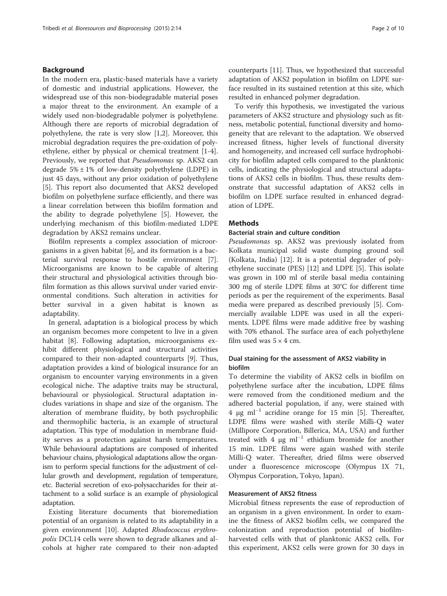## <span id="page-1-0"></span>Background

In the modern era, plastic-based materials have a variety of domestic and industrial applications. However, the widespread use of this non-biodegradable material poses a major threat to the environment. An example of a widely used non-biodegradable polymer is polyethylene. Although there are reports of microbial degradation of polyethylene, the rate is very slow [[1,2\]](#page-8-0). Moreover, this microbial degradation requires the pre-oxidation of polyethylene, either by physical or chemical treatment [[1-4](#page-8-0)]. Previously, we reported that Pseudomonas sp. AKS2 can degrade  $5\% \pm 1\%$  of low-density polyethylene (LDPE) in just 45 days, without any prior oxidation of polyethylene [[5\]](#page-8-0). This report also documented that AKS2 developed biofilm on polyethylene surface efficiently, and there was a linear correlation between this biofilm formation and the ability to degrade polyethylene [[5\]](#page-8-0). However, the underlying mechanism of this biofilm-mediated LDPE degradation by AKS2 remains unclear.

Biofilm represents a complex association of microorganisms in a given habitat [\[6](#page-8-0)], and its formation is a bacterial survival response to hostile environment [\[7](#page-8-0)]. Microorganisms are known to be capable of altering their structural and physiological activities through biofilm formation as this allows survival under varied environmental conditions. Such alteration in activities for better survival in a given habitat is known as adaptability.

In general, adaptation is a biological process by which an organism becomes more competent to live in a given habitat [[8\]](#page-8-0). Following adaptation, microorganisms exhibit different physiological and structural activities compared to their non-adapted counterparts [[9\]](#page-8-0). Thus, adaptation provides a kind of biological insurance for an organism to encounter varying environments in a given ecological niche. The adaptive traits may be structural, behavioural or physiological. Structural adaptation includes variations in shape and size of the organism. The alteration of membrane fluidity, by both psychrophilic and thermophilic bacteria, is an example of structural adaptation. This type of modulation in membrane fluidity serves as a protection against harsh temperatures. While behavioural adaptations are composed of inherited behaviour chains, physiological adaptations allow the organism to perform special functions for the adjustment of cellular growth and development, regulation of temperature, etc. Bacterial secretion of exo-polysaccharides for their attachment to a solid surface is an example of physiological adaptation.

Existing literature documents that bioremediation potential of an organism is related to its adaptability in a given environment [\[10](#page-8-0)]. Adapted Rhodococcus erythropolis DCL14 cells were shown to degrade alkanes and alcohols at higher rate compared to their non-adapted

counterparts [[11\]](#page-8-0). Thus, we hypothesized that successful adaptation of AKS2 population in biofilm on LDPE surface resulted in its sustained retention at this site, which resulted in enhanced polymer degradation.

To verify this hypothesis, we investigated the various parameters of AKS2 structure and physiology such as fitness, metabolic potential, functional diversity and homogeneity that are relevant to the adaptation. We observed increased fitness, higher levels of functional diversity and homogeneity, and increased cell surface hydrophobicity for biofilm adapted cells compared to the planktonic cells, indicating the physiological and structural adaptations of AKS2 cells in biofilm. Thus, these results demonstrate that successful adaptation of AKS2 cells in biofilm on LDPE surface resulted in enhanced degradation of LDPE.

## **Methods**

## Bacterial strain and culture condition

Pseudomonas sp. AKS2 was previously isolated from Kolkata municipal solid waste dumping ground soil (Kolkata, India) [[12\]](#page-9-0). It is a potential degrader of polyethylene succinate (PES) [\[12](#page-9-0)] and LDPE [[5](#page-8-0)]. This isolate was grown in 100 ml of sterile basal media containing 300 mg of sterile LDPE films at 30°C for different time periods as per the requirement of the experiments. Basal media were prepared as described previously [[5\]](#page-8-0). Commercially available LDPE was used in all the experiments. LDPE films were made additive free by washing with 70% ethanol. The surface area of each polyethylene film used was  $5 \times 4$  cm.

## Dual staining for the assessment of AKS2 viability in biofilm

To determine the viability of AKS2 cells in biofilm on polyethylene surface after the incubation, LDPE films were removed from the conditioned medium and the adhered bacterial population, if any, were stained with 4 μg ml−<sup>1</sup> acridine orange for 15 min [\[5](#page-8-0)]. Thereafter, LDPE films were washed with sterile Milli-Q water (Millipore Corporation, Billerica, MA, USA) and further treated with 4 μg ml−<sup>1</sup> ethidium bromide for another 15 min. LDPE films were again washed with sterile Milli-Q water. Thereafter, dried films were observed under a fluorescence microscope (Olympus IX 71, Olympus Corporation, Tokyo, Japan).

## Measurement of AKS2 fitness

Microbial fitness represents the ease of reproduction of an organism in a given environment. In order to examine the fitness of AKS2 biofilm cells, we compared the colonization and reproduction potential of biofilmharvested cells with that of planktonic AKS2 cells. For this experiment, AKS2 cells were grown for 30 days in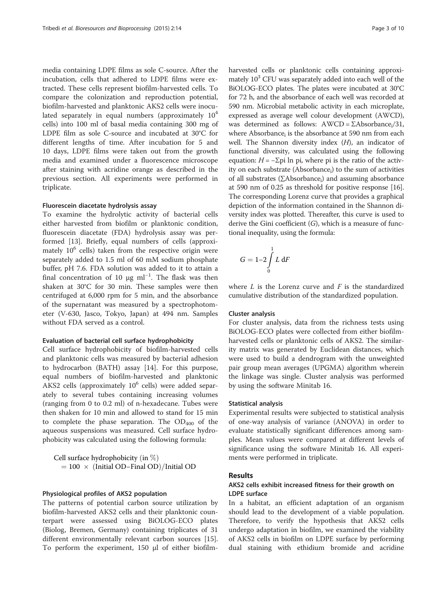media containing LDPE films as sole C-source. After the incubation, cells that adhered to LDPE films were extracted. These cells represent biofilm-harvested cells. To compare the colonization and reproduction potential, biofilm-harvested and planktonic AKS2 cells were inoculated separately in equal numbers (approximately  $10<sup>4</sup>$ cells) into 100 ml of basal media containing 300 mg of LDPE film as sole C-source and incubated at 30°C for different lengths of time. After incubation for 5 and 10 days, LDPE films were taken out from the growth media and examined under a fluorescence microscope after staining with acridine orange as described in the previous section. All experiments were performed in triplicate.

## Fluorescein diacetate hydrolysis assay

To examine the hydrolytic activity of bacterial cells either harvested from biofilm or planktonic condition, fluorescein diacetate (FDA) hydrolysis assay was performed [[13](#page-9-0)]. Briefly, equal numbers of cells (approximately 10<sup>6</sup> cells) taken from the respective origin were separately added to 1.5 ml of 60 mM sodium phosphate buffer, pH 7.6. FDA solution was added to it to attain a final concentration of 10  $\mu$ g ml<sup>-1</sup>. The flask was then shaken at 30°C for 30 min. These samples were then centrifuged at 6,000 rpm for 5 min, and the absorbance of the supernatant was measured by a spectrophotometer (V-630, Jasco, Tokyo, Japan) at 494 nm. Samples without FDA served as a control.

## Evaluation of bacterial cell surface hydrophobicity

Cell surface hydrophobicity of biofilm-harvested cells and planktonic cells was measured by bacterial adhesion to hydrocarbon (BATH) assay [\[14](#page-9-0)]. For this purpose, equal numbers of biofilm-harvested and planktonic AKS2 cells (approximately 10<sup>6</sup> cells) were added separately to several tubes containing increasing volumes (ranging from 0 to 0.2 ml) of n-hexadecane. Tubes were then shaken for 10 min and allowed to stand for 15 min to complete the phase separation. The  $OD_{400}$  of the aqueous suspensions was measured. Cell surface hydrophobicity was calculated using the following formula:

Cell surface hydrophobicity (in  $\%$ )  $= 100 \times (Initial OD-Final OD)/Initial OD$ 

## Physiological profiles of AKS2 population

The patterns of potential carbon source utilization by biofilm-harvested AKS2 cells and their planktonic counterpart were assessed using BiOLOG-ECO plates (Biolog, Bremen, Germany) containing triplicates of 31 different environmentally relevant carbon sources [\[15](#page-9-0)]. To perform the experiment, 150 μl of either biofilmharvested cells or planktonic cells containing approximately  $10<sup>3</sup>$  CFU was separately added into each well of the BiOLOG-ECO plates. The plates were incubated at 30°C for 72 h, and the absorbance of each well was recorded at 590 nm. Microbial metabolic activity in each microplate, expressed as average well colour development (AWCD), was determined as follows:  $AWCD = \Sigma Absorbance_i/31$ , where Absorbance $_{i}$  is the absorbance at 590 nm from each well. The Shannon diversity index  $(H)$ , an indicator of functional diversity, was calculated using the following equation:  $H = -\Sigma$ pi ln pi, where pi is the ratio of the activity on each substrate (Absorbance<sub>i</sub>) to the sum of activities of all substrates (∑Absorbance<sub>i</sub>) and assuming absorbance at 590 nm of 0.25 as threshold for positive response [[16](#page-9-0)]. The corresponding Lorenz curve that provides a graphical depiction of the information contained in the Shannon diversity index was plotted. Thereafter, this curve is used to derive the Gini coefficient  $(G)$ , which is a measure of functional inequality, using the formula:

$$
G=1-2\int\limits_0^1L\;\text{d}F
$$

where  $L$  is the Lorenz curve and  $F$  is the standardized cumulative distribution of the standardized population.

## Cluster analysis

For cluster analysis, data from the richness tests using BiOLOG-ECO plates were collected from either biofilmharvested cells or planktonic cells of AKS2. The similarity matrix was generated by Euclidean distances, which were used to build a dendrogram with the unweighted pair group mean averages (UPGMA) algorithm wherein the linkage was single. Cluster analysis was performed by using the software Minitab 16.

## Statistical analysis

Experimental results were subjected to statistical analysis of one-way analysis of variance (ANOVA) in order to evaluate statistically significant differences among samples. Mean values were compared at different levels of significance using the software Minitab 16. All experiments were performed in triplicate.

## Results

## AKS2 cells exhibit increased fitness for their growth on LDPE surface

In a habitat, an efficient adaptation of an organism should lead to the development of a viable population. Therefore, to verify the hypothesis that AKS2 cells undergo adaptation in biofilm, we examined the viability of AKS2 cells in biofilm on LDPE surface by performing dual staining with ethidium bromide and acridine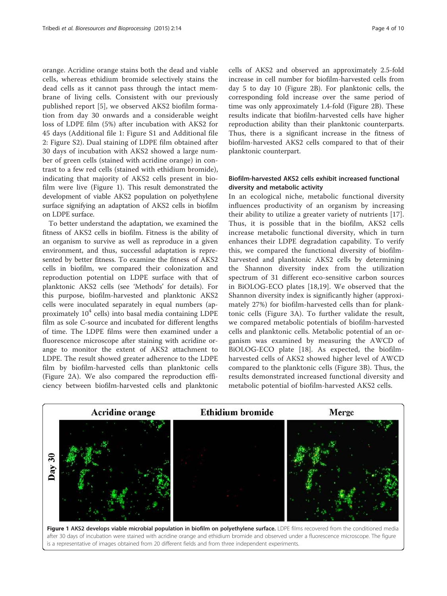orange. Acridine orange stains both the dead and viable cells, whereas ethidium bromide selectively stains the dead cells as it cannot pass through the intact membrane of living cells. Consistent with our previously published report [[5\]](#page-8-0), we observed AKS2 biofilm formation from day 30 onwards and a considerable weight loss of LDPE film (5%) after incubation with AKS2 for 45 days (Additional file [1](#page-8-0): Figure S1 and Additional file [2:](#page-8-0) Figure S2). Dual staining of LDPE film obtained after 30 days of incubation with AKS2 showed a large number of green cells (stained with acridine orange) in contrast to a few red cells (stained with ethidium bromide), indicating that majority of AKS2 cells present in biofilm were live (Figure 1). This result demonstrated the development of viable AKS2 population on polyethylene surface signifying an adaptation of AKS2 cells in biofilm on LDPE surface.

To better understand the adaptation, we examined the fitness of AKS2 cells in biofilm. Fitness is the ability of an organism to survive as well as reproduce in a given environment, and thus, successful adaptation is represented by better fitness. To examine the fitness of AKS2 cells in biofilm, we compared their colonization and reproduction potential on LDPE surface with that of planktonic AKS2 cells (see '[Methods](#page-1-0)' for details). For this purpose, biofilm-harvested and planktonic AKS2 cells were inoculated separately in equal numbers (approximately  $10^4$  cells) into basal media containing LDPE film as sole C-source and incubated for different lengths of time. The LDPE films were then examined under a fluorescence microscope after staining with acridine orange to monitor the extent of AKS2 attachment to LDPE. The result showed greater adherence to the LDPE film by biofilm-harvested cells than planktonic cells (Figure [2](#page-4-0)A). We also compared the reproduction efficiency between biofilm-harvested cells and planktonic cells of AKS2 and observed an approximately 2.5-fold increase in cell number for biofilm-harvested cells from day 5 to day 10 (Figure [2](#page-4-0)B). For planktonic cells, the corresponding fold increase over the same period of time was only approximately 1.4-fold (Figure [2B](#page-4-0)). These results indicate that biofilm-harvested cells have higher reproduction ability than their planktonic counterparts. Thus, there is a significant increase in the fitness of biofilm-harvested AKS2 cells compared to that of their planktonic counterpart.

## Biofilm-harvested AKS2 cells exhibit increased functional diversity and metabolic activity

In an ecological niche, metabolic functional diversity influences productivity of an organism by increasing their ability to utilize a greater variety of nutrients [\[17](#page-9-0)]. Thus, it is possible that in the biofilm, AKS2 cells increase metabolic functional diversity, which in turn enhances their LDPE degradation capability. To verify this, we compared the functional diversity of biofilmharvested and planktonic AKS2 cells by determining the Shannon diversity index from the utilization spectrum of 31 different eco-sensitive carbon sources in BiOLOG-ECO plates [\[18](#page-9-0),[19\]](#page-9-0). We observed that the Shannon diversity index is significantly higher (approximately 27%) for biofilm-harvested cells than for planktonic cells (Figure [3A](#page-5-0)). To further validate the result, we compared metabolic potentials of biofilm-harvested cells and planktonic cells. Metabolic potential of an organism was examined by measuring the AWCD of BiOLOG-ECO plate [[18\]](#page-9-0). As expected, the biofilmharvested cells of AKS2 showed higher level of AWCD compared to the planktonic cells (Figure [3B](#page-5-0)). Thus, the results demonstrated increased functional diversity and metabolic potential of biofilm-harvested AKS2 cells.



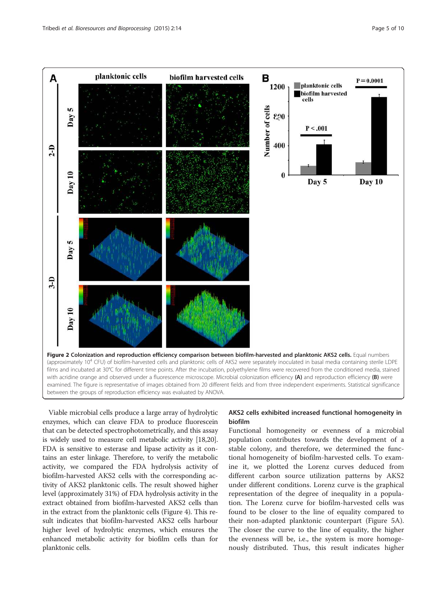<span id="page-4-0"></span>

Viable microbial cells produce a large array of hydrolytic enzymes, which can cleave FDA to produce fluorescein that can be detected spectrophotometrically, and this assay is widely used to measure cell metabolic activity [\[18,20](#page-9-0)]. FDA is sensitive to esterase and lipase activity as it contains an ester linkage. Therefore, to verify the metabolic activity, we compared the FDA hydrolysis activity of biofilm-harvested AKS2 cells with the corresponding activity of AKS2 planktonic cells. The result showed higher level (approximately 31%) of FDA hydrolysis activity in the extract obtained from biofilm-harvested AKS2 cells than in the extract from the planktonic cells (Figure [4\)](#page-5-0). This result indicates that biofilm-harvested AKS2 cells harbour higher level of hydrolytic enzymes, which ensures the enhanced metabolic activity for biofilm cells than for planktonic cells.

# AKS2 cells exhibited increased functional homogeneity in biofilm

Functional homogeneity or evenness of a microbial population contributes towards the development of a stable colony, and therefore, we determined the functional homogeneity of biofilm-harvested cells. To examine it, we plotted the Lorenz curves deduced from different carbon source utilization patterns by AKS2 under different conditions. Lorenz curve is the graphical representation of the degree of inequality in a population. The Lorenz curve for biofilm-harvested cells was found to be closer to the line of equality compared to their non-adapted planktonic counterpart (Figure [5](#page-6-0)A). The closer the curve to the line of equality, the higher the evenness will be, i.e., the system is more homogenously distributed. Thus, this result indicates higher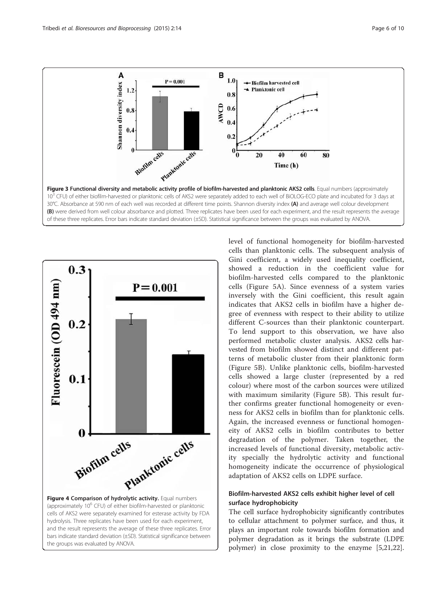<span id="page-5-0"></span>



the groups was evaluated by ANOVA.

level of functional homogeneity for biofilm-harvested cells than planktonic cells. The subsequent analysis of Gini coefficient, a widely used inequality coefficient, showed a reduction in the coefficient value for biofilm-harvested cells compared to the planktonic cells (Figure [5A](#page-6-0)). Since evenness of a system varies inversely with the Gini coefficient, this result again indicates that AKS2 cells in biofilm have a higher degree of evenness with respect to their ability to utilize different C-sources than their planktonic counterpart. To lend support to this observation, we have also performed metabolic cluster analysis. AKS2 cells harvested from biofilm showed distinct and different patterns of metabolic cluster from their planktonic form (Figure [5B](#page-6-0)). Unlike planktonic cells, biofilm-harvested cells showed a large cluster (represented by a red colour) where most of the carbon sources were utilized with maximum similarity (Figure [5](#page-6-0)B). This result further confirms greater functional homogeneity or evenness for AKS2 cells in biofilm than for planktonic cells. Again, the increased evenness or functional homogeneity of AKS2 cells in biofilm contributes to better degradation of the polymer. Taken together, the increased levels of functional diversity, metabolic activity specially the hydrolytic activity and functional homogeneity indicate the occurrence of physiological adaptation of AKS2 cells on LDPE surface.

# Biofilm-harvested AKS2 cells exhibit higher level of cell surface hydrophobicity

The cell surface hydrophobicity significantly contributes to cellular attachment to polymer surface, and thus, it plays an important role towards biofilm formation and polymer degradation as it brings the substrate (LDPE polymer) in close proximity to the enzyme [\[5](#page-8-0)[,21,22](#page-9-0)].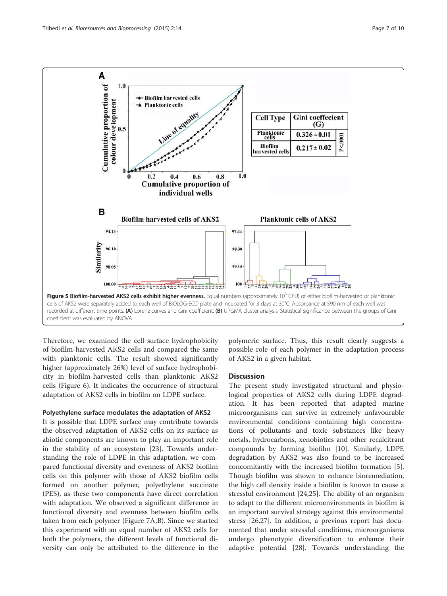<span id="page-6-0"></span>

Therefore, we examined the cell surface hydrophobicity of biofilm-harvested AKS2 cells and compared the same with planktonic cells. The result showed significantly higher (approximately 26%) level of surface hydrophobicity in biofilm-harvested cells than planktonic AKS2 cells (Figure [6\)](#page-7-0). It indicates the occurrence of structural adaptation of AKS2 cells in biofilm on LDPE surface.

## Polyethylene surface modulates the adaptation of AKS2

It is possible that LDPE surface may contribute towards the observed adaptation of AKS2 cells on its surface as abiotic components are known to play an important role in the stability of an ecosystem [\[23](#page-9-0)]. Towards understanding the role of LDPE in this adaptation, we compared functional diversity and evenness of AKS2 biofilm cells on this polymer with those of AKS2 biofilm cells formed on another polymer, polyethylene succinate (PES), as these two components have direct correlation with adaptation. We observed a significant difference in functional diversity and evenness between biofilm cells taken from each polymer (Figure [7A](#page-7-0),B). Since we started this experiment with an equal number of AKS2 cells for both the polymers, the different levels of functional diversity can only be attributed to the difference in the

polymeric surface. Thus, this result clearly suggests a possible role of each polymer in the adaptation process of AKS2 in a given habitat.

## **Discussion**

The present study investigated structural and physiological properties of AKS2 cells during LDPE degradation. It has been reported that adapted marine microorganisms can survive in extremely unfavourable environmental conditions containing high concentrations of pollutants and toxic substances like heavy metals, hydrocarbons, xenobiotics and other recalcitrant compounds by forming biofilm [[10\]](#page-8-0). Similarly, LDPE degradation by AKS2 was also found to be increased concomitantly with the increased biofilm formation [\[5](#page-8-0)]. Though biofilm was shown to enhance bioremediation, the high cell density inside a biofilm is known to cause a stressful environment [[24](#page-9-0),[25](#page-9-0)]. The ability of an organism to adapt to the different microenvironments in biofilm is an important survival strategy against this environmental stress [[26,27\]](#page-9-0). In addition, a previous report has documented that under stressful conditions, microorganisms undergo phenotypic diversification to enhance their adaptive potential [\[28\]](#page-9-0). Towards understanding the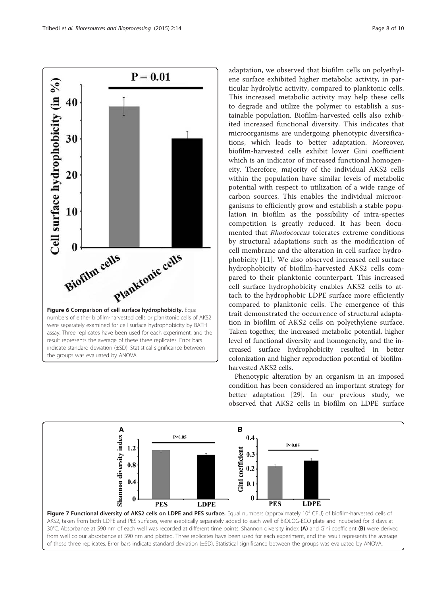<span id="page-7-0"></span>

adaptation, we observed that biofilm cells on polyethylene surface exhibited higher metabolic activity, in particular hydrolytic activity, compared to planktonic cells. This increased metabolic activity may help these cells to degrade and utilize the polymer to establish a sustainable population. Biofilm-harvested cells also exhibited increased functional diversity. This indicates that microorganisms are undergoing phenotypic diversifications, which leads to better adaptation. Moreover, biofilm-harvested cells exhibit lower Gini coefficient which is an indicator of increased functional homogeneity. Therefore, majority of the individual AKS2 cells within the population have similar levels of metabolic potential with respect to utilization of a wide range of carbon sources. This enables the individual microorganisms to efficiently grow and establish a stable population in biofilm as the possibility of intra-species competition is greatly reduced. It has been documented that Rhodococcus tolerates extreme conditions by structural adaptations such as the modification of cell membrane and the alteration in cell surface hydrophobicity [\[11\]](#page-8-0). We also observed increased cell surface hydrophobicity of biofilm-harvested AKS2 cells compared to their planktonic counterpart. This increased cell surface hydrophobicity enables AKS2 cells to attach to the hydrophobic LDPE surface more efficiently compared to planktonic cells. The emergence of this trait demonstrated the occurrence of structural adaptation in biofilm of AKS2 cells on polyethylene surface. Taken together, the increased metabolic potential, higher level of functional diversity and homogeneity, and the increased surface hydrophobicity resulted in better colonization and higher reproduction potential of biofilmharvested AKS2 cells.

Phenotypic alteration by an organism in an imposed condition has been considered an important strategy for better adaptation [[29\]](#page-9-0). In our previous study, we observed that AKS2 cells in biofilm on LDPE surface



of these three replicates. Error bars indicate standard deviation (±SD). Statistical significance between the groups was evaluated by ANOVA.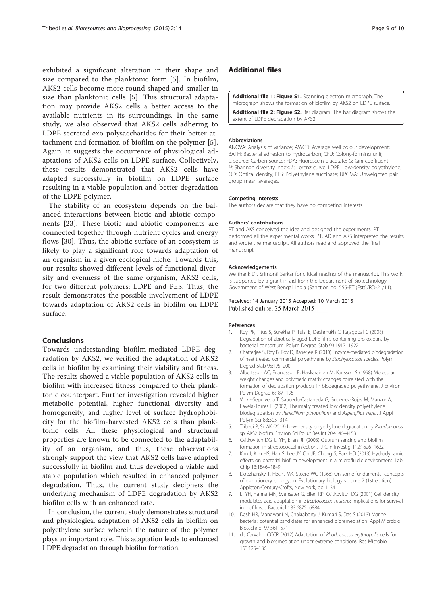<span id="page-8-0"></span>exhibited a significant alteration in their shape and size compared to the planktonic form [5]. In biofilm, AKS2 cells become more round shaped and smaller in size than planktonic cells [5]. This structural adaptation may provide AKS2 cells a better access to the available nutrients in its surroundings. In the same study, we also observed that AKS2 cells adhering to LDPE secreted exo-polysaccharides for their better attachment and formation of biofilm on the polymer [5]. Again, it suggests the occurrence of physiological adaptations of AKS2 cells on LDPE surface. Collectively, these results demonstrated that AKS2 cells have adapted successfully in biofilm on LDPE surface resulting in a viable population and better degradation of the LDPE polymer.

The stability of an ecosystem depends on the balanced interactions between biotic and abiotic components [[23](#page-9-0)]. These biotic and abiotic components are connected together through nutrient cycles and energy flows [\[30](#page-9-0)]. Thus, the abiotic surface of an ecosystem is likely to play a significant role towards adaptation of an organism in a given ecological niche. Towards this, our results showed different levels of functional diversity and evenness of the same organism, AKS2 cells, for two different polymers: LDPE and PES. Thus, the result demonstrates the possible involvement of LDPE towards adaptation of AKS2 cells in biofilm on LDPE surface.

## Conclusions

Towards understanding biofilm-mediated LDPE degradation by AKS2, we verified the adaptation of AKS2 cells in biofilm by examining their viability and fitness. The results showed a viable population of AKS2 cells in biofilm with increased fitness compared to their planktonic counterpart. Further investigation revealed higher metabolic potential, higher functional diversity and homogeneity, and higher level of surface hydrophobicity for the biofilm-harvested AKS2 cells than planktonic cells. All these physiological and structural properties are known to be connected to the adaptability of an organism, and thus, these observations strongly support the view that AKS2 cells have adapted successfully in biofilm and thus developed a viable and stable population which resulted in enhanced polymer degradation. Thus, the current study deciphers the underlying mechanism of LDPE degradation by AKS2 biofilm cells with an enhanced rate.

In conclusion, the current study demonstrates structural and physiological adaptation of AKS2 cells in biofilm on polyethylene surface wherein the nature of the polymer plays an important role. This adaptation leads to enhanced LDPE degradation through biofilm formation.

## Additional files

[Additional file 1: Figure S1.](http://www.bioresourcesbioprocessing.com/content/supplementary/s40643-015-0044-x-s1.doc) Scanning electron micrograph. The micrograph shows the formation of biofilm by AKS2 on LDPE surface. [Additional file 2: Figure S2.](http://www.bioresourcesbioprocessing.com/content/supplementary/s40643-015-0044-x-s2.doc) Bar diagram. The bar diagram shows the extent of LDPE degradation by AKS2.

#### Abbreviations

ANOVA: Analysis of variance; AWCD: Average well colour development; BATH: Bacterial adhesion to hydrocarbon; CFU: Colony-forming unit; C-source: Carbon source; FDA: Fluorescein diacetate; G: Gini coefficient; H: Shannon diversity index; L: Lorenz curve; LDPE: Low-density polyethylene; OD: Optical density; PES: Polyethylene succinate; UPGMA: Unweighted pair group mean averages.

#### Competing interests

The authors declare that they have no competing interests.

### Authors' contributions

PT and AKS conceived the idea and designed the experiments. PT performed all the experimental works. PT, AD and AKS interpreted the results and wrote the manuscript. All authors read and approved the final manuscript.

#### Acknowledgements

We thank Dr. Srimonti Sarkar for critical reading of the manuscript. This work is supported by a grant in aid from the Department of Biotechnology, Government of West Bengal, India (Sanction no. 555-BT (Estt)/RD-21/11).

## Received: 14 January 2015 Accepted: 10 March 2015 Published online: 25 March 2015

#### References

- 1. Roy PK, Titus S, Surekha P, Tulsi E, Deshmukh C, Rajagopal C (2008) Degradation of abiotically aged LDPE films containing pro-oxidant by bacterial consortium. Polym Degrad Stab 93:1917–1922
- 2. Chatterjee S, Roy B, Roy D, Banerjee R (2010) Enzyme-mediated biodegradation of heat treated commercial polyethylene by Staphylococcal species. Polym Degrad Stab 95:195–200
- 3. Albertsson AC, Erlandsson B, Hakkarainen M, Karlsson S (1998) Molecular weight changes and polymeric matrix changes correlated with the formation of degradation products in biodegraded polyethylene. J Environ Polym Degrad 6:187–195
- 4. Volke-Sepulveda T, Saucedo-Castaneda G, Gutierrez-Rojas M, Manzur A, Favela-Torres E (2002) Thermally treated low density polyethylene biodegradation by Penicillium pinophilum and Aspergillus niger. J Appl Polym Sci 83:305–314
- 5. Tribedi P, Sil AK (2013) Low-density polyethylene degradation by Pseudomonas sp. AKS2 biofilm. Environ Sci Pollut Res Int 20:4146–4153
- 6. Cvitkovitch DG, Li YH, Ellen RP (2003) Quorum sensing and biofilm formation in streptococcal infections. J Clin Investig 112:1626–1632
- 7. Kim J, Kim HS, Han S, Lee JY, Oh JE, Chung S, Park HD (2013) Hydrodynamic effects on bacterial biofilm development in a microfluidic environment. Lab Chip 13:1846–1849
- 8. Dobzhansky T, Hecht MK, Steere WC (1968) On some fundamental concepts of evolutionary biology. In: Evolutionary biology volume 2 (1st edition). Appleton-Century-Crofts, New York, pp 1–34
- 9. Li YH, Hanna MN, Svensater G, Ellen RP, Cvitkovitch DG (2001) Cell density modulates acid adaptation in Streptococcus mutans: implications for survival in biofilms. J Bacteriol 183:6875–6884
- 10. Dash HR, Mangwani N, Chakraborty J, Kumari S, Das S (2013) Marine bacteria: potential candidates for enhanced bioremediation. Appl Microbiol Biotechnol 97:561–571
- 11. de Carvalho CCCR (2012) Adaptation of Rhodococcus erythropolis cells for growth and bioremediation under extreme conditions. Res Microbiol 163:125–136